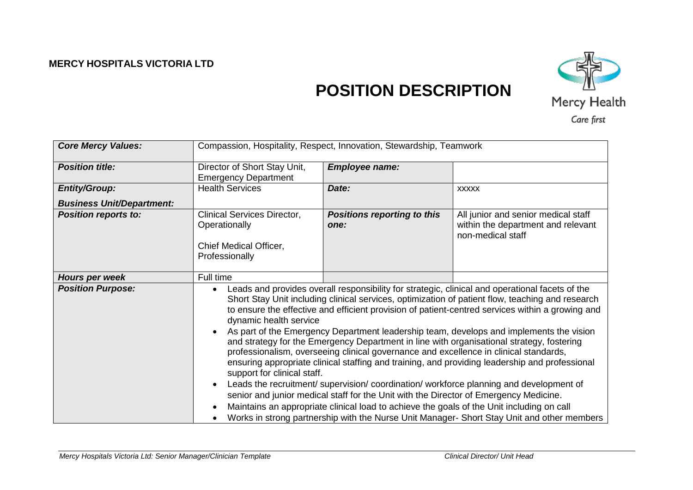## **MERCY HOSPITALS VICTORIA LTD**



# **POSITION DESCRIPTION**

| <b>Core Mercy Values:</b>        | Compassion, Hospitality, Respect, Innovation, Stewardship, Teamwork                                                                                                                                                                                                                                                                                                                                                                                                                                                                                                                                                                                                                                                                                                                                                                                                                                                                                                                                                                                                                                                               |                                            |                                                                                                |
|----------------------------------|-----------------------------------------------------------------------------------------------------------------------------------------------------------------------------------------------------------------------------------------------------------------------------------------------------------------------------------------------------------------------------------------------------------------------------------------------------------------------------------------------------------------------------------------------------------------------------------------------------------------------------------------------------------------------------------------------------------------------------------------------------------------------------------------------------------------------------------------------------------------------------------------------------------------------------------------------------------------------------------------------------------------------------------------------------------------------------------------------------------------------------------|--------------------------------------------|------------------------------------------------------------------------------------------------|
| <b>Position title:</b>           | Director of Short Stay Unit,<br><b>Emergency Department</b>                                                                                                                                                                                                                                                                                                                                                                                                                                                                                                                                                                                                                                                                                                                                                                                                                                                                                                                                                                                                                                                                       | <b>Employee name:</b>                      |                                                                                                |
| <b>Entity/Group:</b>             | <b>Health Services</b>                                                                                                                                                                                                                                                                                                                                                                                                                                                                                                                                                                                                                                                                                                                                                                                                                                                                                                                                                                                                                                                                                                            | Date:                                      | <b>XXXXX</b>                                                                                   |
| <b>Business Unit/Department:</b> |                                                                                                                                                                                                                                                                                                                                                                                                                                                                                                                                                                                                                                                                                                                                                                                                                                                                                                                                                                                                                                                                                                                                   |                                            |                                                                                                |
| <b>Position reports to:</b>      | Clinical Services Director,<br>Operationally<br>Chief Medical Officer,<br>Professionally                                                                                                                                                                                                                                                                                                                                                                                                                                                                                                                                                                                                                                                                                                                                                                                                                                                                                                                                                                                                                                          | <b>Positions reporting to this</b><br>one: | All junior and senior medical staff<br>within the department and relevant<br>non-medical staff |
| Hours per week                   | Full time                                                                                                                                                                                                                                                                                                                                                                                                                                                                                                                                                                                                                                                                                                                                                                                                                                                                                                                                                                                                                                                                                                                         |                                            |                                                                                                |
| <b>Position Purpose:</b>         | Leads and provides overall responsibility for strategic, clinical and operational facets of the<br>Short Stay Unit including clinical services, optimization of patient flow, teaching and research<br>to ensure the effective and efficient provision of patient-centred services within a growing and<br>dynamic health service<br>As part of the Emergency Department leadership team, develops and implements the vision<br>and strategy for the Emergency Department in line with organisational strategy, fostering<br>professionalism, overseeing clinical governance and excellence in clinical standards,<br>ensuring appropriate clinical staffing and training, and providing leadership and professional<br>support for clinical staff.<br>Leads the recruitment/ supervision/ coordination/ workforce planning and development of<br>senior and junior medical staff for the Unit with the Director of Emergency Medicine.<br>Maintains an appropriate clinical load to achieve the goals of the Unit including on call<br>Works in strong partnership with the Nurse Unit Manager-Short Stay Unit and other members |                                            |                                                                                                |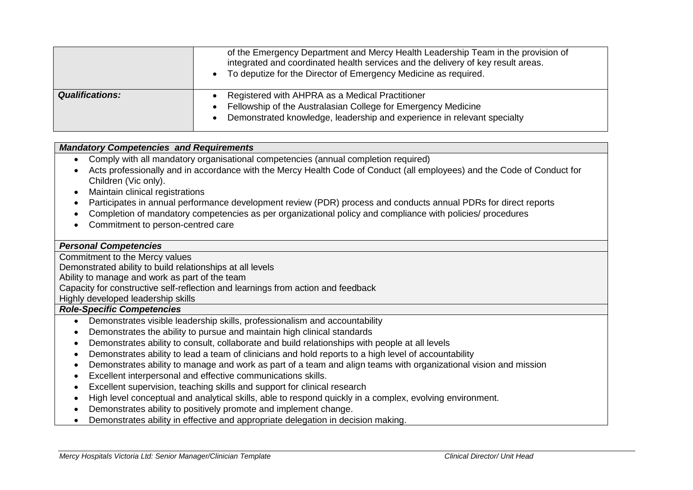|                        | of the Emergency Department and Mercy Health Leadership Team in the provision of<br>integrated and coordinated health services and the delivery of key result areas.<br>To deputize for the Director of Emergency Medicine as required. |
|------------------------|-----------------------------------------------------------------------------------------------------------------------------------------------------------------------------------------------------------------------------------------|
| <b>Qualifications:</b> | Registered with AHPRA as a Medical Practitioner<br>Fellowship of the Australasian College for Emergency Medicine<br>Demonstrated knowledge, leadership and experience in relevant specialty                                             |

### *Mandatory Competencies and Requirements*

- Comply with all mandatory organisational competencies (annual completion required)
- Acts professionally and in accordance with the Mercy Health Code of Conduct (all employees) and the Code of Conduct for Children (Vic only).
- Maintain clinical registrations
- Participates in annual performance development review (PDR) process and conducts annual PDRs for direct reports
- Completion of mandatory competencies as per organizational policy and compliance with policies/ procedures
- Commitment to person-centred care

### *Personal Competencies*

Commitment to the Mercy values

Demonstrated ability to build relationships at all levels

Ability to manage and work as part of the team

Capacity for constructive self-reflection and learnings from action and feedback

Highly developed leadership skills

#### *Role-Specific Competencies*

- Demonstrates visible leadership skills, professionalism and accountability
- Demonstrates the ability to pursue and maintain high clinical standards
- Demonstrates ability to consult, collaborate and build relationships with people at all levels
- Demonstrates ability to lead a team of clinicians and hold reports to a high level of accountability
- Demonstrates ability to manage and work as part of a team and align teams with organizational vision and mission
- Excellent interpersonal and effective communications skills.
- Excellent supervision, teaching skills and support for clinical research
- High level conceptual and analytical skills, able to respond quickly in a complex, evolving environment.
- Demonstrates ability to positively promote and implement change.
- Demonstrates ability in effective and appropriate delegation in decision making.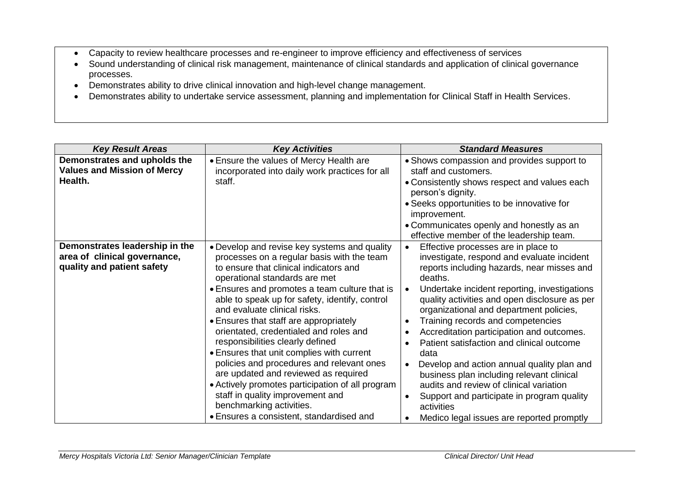- Capacity to review healthcare processes and re-engineer to improve efficiency and effectiveness of services
- Sound understanding of clinical risk management, maintenance of clinical standards and application of clinical governance processes.
- Demonstrates ability to drive clinical innovation and high-level change management.
- Demonstrates ability to undertake service assessment, planning and implementation for Clinical Staff in Health Services.

| <b>Key Result Areas</b>                                                                      | <b>Key Activities</b>                                                                                                                                                                                                                                                                                                                                                                                                                                                                                                                                                                                                                                                                                                              | <b>Standard Measures</b>                                                                                                                                                                                                                                                                                                                                                                                                                                                                                                                                                                                                                                                                                                                                                             |
|----------------------------------------------------------------------------------------------|------------------------------------------------------------------------------------------------------------------------------------------------------------------------------------------------------------------------------------------------------------------------------------------------------------------------------------------------------------------------------------------------------------------------------------------------------------------------------------------------------------------------------------------------------------------------------------------------------------------------------------------------------------------------------------------------------------------------------------|--------------------------------------------------------------------------------------------------------------------------------------------------------------------------------------------------------------------------------------------------------------------------------------------------------------------------------------------------------------------------------------------------------------------------------------------------------------------------------------------------------------------------------------------------------------------------------------------------------------------------------------------------------------------------------------------------------------------------------------------------------------------------------------|
| Demonstrates and upholds the<br><b>Values and Mission of Mercy</b><br>Health.                | • Ensure the values of Mercy Health are<br>incorporated into daily work practices for all<br>staff.                                                                                                                                                                                                                                                                                                                                                                                                                                                                                                                                                                                                                                | • Shows compassion and provides support to<br>staff and customers.<br>• Consistently shows respect and values each<br>person's dignity.<br>• Seeks opportunities to be innovative for<br>improvement.<br>• Communicates openly and honestly as an<br>effective member of the leadership team.                                                                                                                                                                                                                                                                                                                                                                                                                                                                                        |
| Demonstrates leadership in the<br>area of clinical governance,<br>quality and patient safety | • Develop and revise key systems and quality<br>processes on a regular basis with the team<br>to ensure that clinical indicators and<br>operational standards are met<br>• Ensures and promotes a team culture that is<br>able to speak up for safety, identify, control<br>and evaluate clinical risks.<br>• Ensures that staff are appropriately<br>orientated, credentialed and roles and<br>responsibilities clearly defined<br>• Ensures that unit complies with current<br>policies and procedures and relevant ones<br>are updated and reviewed as required<br>• Actively promotes participation of all program<br>staff in quality improvement and<br>benchmarking activities.<br>• Ensures a consistent, standardised and | Effective processes are in place to<br>$\bullet$<br>investigate, respond and evaluate incident<br>reports including hazards, near misses and<br>deaths.<br>Undertake incident reporting, investigations<br>$\bullet$<br>quality activities and open disclosure as per<br>organizational and department policies,<br>Training records and competencies<br>$\bullet$<br>Accreditation participation and outcomes.<br>$\bullet$<br>Patient satisfaction and clinical outcome<br>$\bullet$<br>data<br>Develop and action annual quality plan and<br>$\bullet$<br>business plan including relevant clinical<br>audits and review of clinical variation<br>Support and participate in program quality<br>$\bullet$<br>activities<br>Medico legal issues are reported promptly<br>$\bullet$ |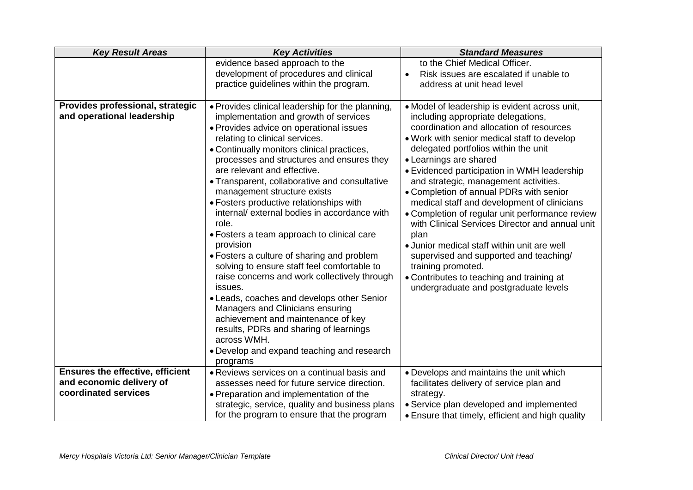| <b>Key Result Areas</b>                                             | <b>Key Activities</b>                                                                                                                                                                                                                                                                                                                                                                                                                                                                                                                                                                                                                                                                                                                                                                                                                                                                                                                              | <b>Standard Measures</b>                                                                                                                                                                                                                                                                                                                                                                                                                                                                                                                                                                                                                                                                                                                              |  |
|---------------------------------------------------------------------|----------------------------------------------------------------------------------------------------------------------------------------------------------------------------------------------------------------------------------------------------------------------------------------------------------------------------------------------------------------------------------------------------------------------------------------------------------------------------------------------------------------------------------------------------------------------------------------------------------------------------------------------------------------------------------------------------------------------------------------------------------------------------------------------------------------------------------------------------------------------------------------------------------------------------------------------------|-------------------------------------------------------------------------------------------------------------------------------------------------------------------------------------------------------------------------------------------------------------------------------------------------------------------------------------------------------------------------------------------------------------------------------------------------------------------------------------------------------------------------------------------------------------------------------------------------------------------------------------------------------------------------------------------------------------------------------------------------------|--|
|                                                                     | evidence based approach to the<br>development of procedures and clinical                                                                                                                                                                                                                                                                                                                                                                                                                                                                                                                                                                                                                                                                                                                                                                                                                                                                           | to the Chief Medical Officer.<br>Risk issues are escalated if unable to<br>$\bullet$                                                                                                                                                                                                                                                                                                                                                                                                                                                                                                                                                                                                                                                                  |  |
|                                                                     | practice guidelines within the program.                                                                                                                                                                                                                                                                                                                                                                                                                                                                                                                                                                                                                                                                                                                                                                                                                                                                                                            | address at unit head level                                                                                                                                                                                                                                                                                                                                                                                                                                                                                                                                                                                                                                                                                                                            |  |
| Provides professional, strategic<br>and operational leadership      | . Provides clinical leadership for the planning,<br>implementation and growth of services<br>• Provides advice on operational issues<br>relating to clinical services.<br>• Continually monitors clinical practices,<br>processes and structures and ensures they<br>are relevant and effective.<br>• Transparent, collaborative and consultative<br>management structure exists<br>• Fosters productive relationships with<br>internal/ external bodies in accordance with<br>role.<br>• Fosters a team approach to clinical care<br>provision<br>• Fosters a culture of sharing and problem<br>solving to ensure staff feel comfortable to<br>raise concerns and work collectively through<br>issues.<br>• Leads, coaches and develops other Senior<br>Managers and Clinicians ensuring<br>achievement and maintenance of key<br>results, PDRs and sharing of learnings<br>across WMH.<br>• Develop and expand teaching and research<br>programs | • Model of leadership is evident across unit,<br>including appropriate delegations,<br>coordination and allocation of resources<br>. Work with senior medical staff to develop<br>delegated portfolios within the unit<br>• Learnings are shared<br>• Evidenced participation in WMH leadership<br>and strategic, management activities.<br>• Completion of annual PDRs with senior<br>medical staff and development of clinicians<br>• Completion of regular unit performance review<br>with Clinical Services Director and annual unit<br>plan<br>• Junior medical staff within unit are well<br>supervised and supported and teaching/<br>training promoted.<br>• Contributes to teaching and training at<br>undergraduate and postgraduate levels |  |
| <b>Ensures the effective, efficient</b><br>and economic delivery of | • Reviews services on a continual basis and                                                                                                                                                                                                                                                                                                                                                                                                                                                                                                                                                                                                                                                                                                                                                                                                                                                                                                        | • Develops and maintains the unit which                                                                                                                                                                                                                                                                                                                                                                                                                                                                                                                                                                                                                                                                                                               |  |
| coordinated services                                                | assesses need for future service direction.<br>• Preparation and implementation of the                                                                                                                                                                                                                                                                                                                                                                                                                                                                                                                                                                                                                                                                                                                                                                                                                                                             | facilitates delivery of service plan and<br>strategy.                                                                                                                                                                                                                                                                                                                                                                                                                                                                                                                                                                                                                                                                                                 |  |
|                                                                     | strategic, service, quality and business plans                                                                                                                                                                                                                                                                                                                                                                                                                                                                                                                                                                                                                                                                                                                                                                                                                                                                                                     | • Service plan developed and implemented                                                                                                                                                                                                                                                                                                                                                                                                                                                                                                                                                                                                                                                                                                              |  |
|                                                                     | for the program to ensure that the program                                                                                                                                                                                                                                                                                                                                                                                                                                                                                                                                                                                                                                                                                                                                                                                                                                                                                                         | • Ensure that timely, efficient and high quality                                                                                                                                                                                                                                                                                                                                                                                                                                                                                                                                                                                                                                                                                                      |  |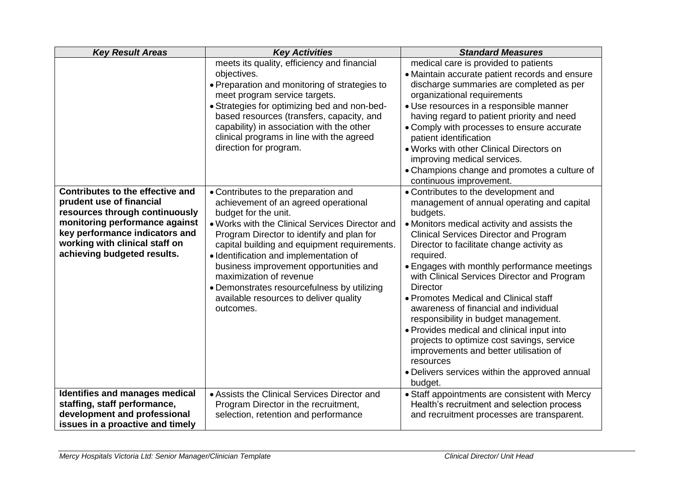| <b>Key Result Areas</b>                                                                                                                                                                                                             | <b>Key Activities</b>                                                                                                                                                                                                                                                                                                                                                                                                                                                     | <b>Standard Measures</b>                                                                                                                                                                                                                                                                                                                                                                                                                                                                                                                                                                                                                                                                                            |  |
|-------------------------------------------------------------------------------------------------------------------------------------------------------------------------------------------------------------------------------------|---------------------------------------------------------------------------------------------------------------------------------------------------------------------------------------------------------------------------------------------------------------------------------------------------------------------------------------------------------------------------------------------------------------------------------------------------------------------------|---------------------------------------------------------------------------------------------------------------------------------------------------------------------------------------------------------------------------------------------------------------------------------------------------------------------------------------------------------------------------------------------------------------------------------------------------------------------------------------------------------------------------------------------------------------------------------------------------------------------------------------------------------------------------------------------------------------------|--|
|                                                                                                                                                                                                                                     | meets its quality, efficiency and financial<br>objectives.<br>• Preparation and monitoring of strategies to<br>meet program service targets.<br>• Strategies for optimizing bed and non-bed-<br>based resources (transfers, capacity, and<br>capability) in association with the other<br>clinical programs in line with the agreed<br>direction for program.                                                                                                             | medical care is provided to patients<br>• Maintain accurate patient records and ensure<br>discharge summaries are completed as per<br>organizational requirements<br>• Use resources in a responsible manner<br>having regard to patient priority and need<br>• Comply with processes to ensure accurate<br>patient identification<br>• Works with other Clinical Directors on<br>improving medical services.<br>• Champions change and promotes a culture of<br>continuous improvement.                                                                                                                                                                                                                            |  |
| Contributes to the effective and<br>prudent use of financial<br>resources through continuously<br>monitoring performance against<br>key performance indicators and<br>working with clinical staff on<br>achieving budgeted results. | • Contributes to the preparation and<br>achievement of an agreed operational<br>budget for the unit.<br>. Works with the Clinical Services Director and<br>Program Director to identify and plan for<br>capital building and equipment requirements.<br>· Identification and implementation of<br>business improvement opportunities and<br>maximization of revenue<br>• Demonstrates resourcefulness by utilizing<br>available resources to deliver quality<br>outcomes. | • Contributes to the development and<br>management of annual operating and capital<br>budgets.<br>• Monitors medical activity and assists the<br><b>Clinical Services Director and Program</b><br>Director to facilitate change activity as<br>required.<br>• Engages with monthly performance meetings<br>with Clinical Services Director and Program<br><b>Director</b><br>• Promotes Medical and Clinical staff<br>awareness of financial and individual<br>responsibility in budget management.<br>• Provides medical and clinical input into<br>projects to optimize cost savings, service<br>improvements and better utilisation of<br>resources<br>• Delivers services within the approved annual<br>budget. |  |
| Identifies and manages medical<br>staffing, staff performance,<br>development and professional<br>issues in a proactive and timely                                                                                                  | • Assists the Clinical Services Director and<br>Program Director in the recruitment,<br>selection, retention and performance                                                                                                                                                                                                                                                                                                                                              | • Staff appointments are consistent with Mercy<br>Health's recruitment and selection process<br>and recruitment processes are transparent.                                                                                                                                                                                                                                                                                                                                                                                                                                                                                                                                                                          |  |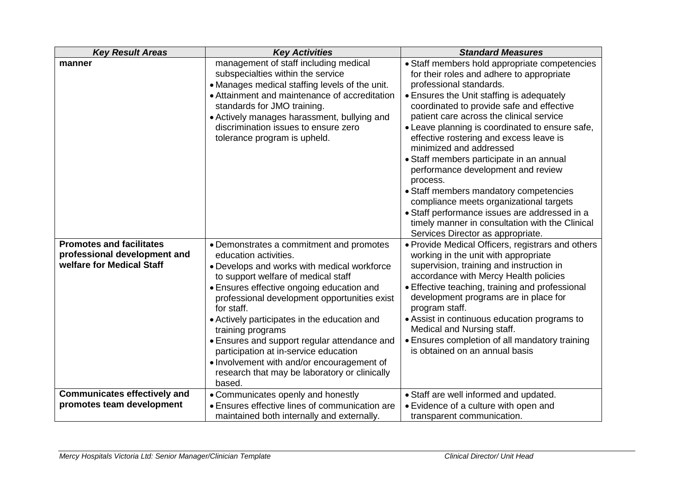| <b>Key Result Areas</b>                                                                      | <b>Key Activities</b>                                                                                                                                                                                                                                                                                                                                                                                                                                                                                                                     | <b>Standard Measures</b>                                                                                                                                                                                                                                                                                                                                                                                                                                                                                                                                                                                                                                                                                         |  |
|----------------------------------------------------------------------------------------------|-------------------------------------------------------------------------------------------------------------------------------------------------------------------------------------------------------------------------------------------------------------------------------------------------------------------------------------------------------------------------------------------------------------------------------------------------------------------------------------------------------------------------------------------|------------------------------------------------------------------------------------------------------------------------------------------------------------------------------------------------------------------------------------------------------------------------------------------------------------------------------------------------------------------------------------------------------------------------------------------------------------------------------------------------------------------------------------------------------------------------------------------------------------------------------------------------------------------------------------------------------------------|--|
| manner                                                                                       | management of staff including medical<br>subspecialties within the service<br>• Manages medical staffing levels of the unit.<br>• Attainment and maintenance of accreditation<br>standards for JMO training.<br>• Actively manages harassment, bullying and<br>discrimination issues to ensure zero<br>tolerance program is upheld.                                                                                                                                                                                                       | • Staff members hold appropriate competencies<br>for their roles and adhere to appropriate<br>professional standards.<br>• Ensures the Unit staffing is adequately<br>coordinated to provide safe and effective<br>patient care across the clinical service<br>• Leave planning is coordinated to ensure safe,<br>effective rostering and excess leave is<br>minimized and addressed<br>• Staff members participate in an annual<br>performance development and review<br>process.<br>• Staff members mandatory competencies<br>compliance meets organizational targets<br>• Staff performance issues are addressed in a<br>timely manner in consultation with the Clinical<br>Services Director as appropriate. |  |
| <b>Promotes and facilitates</b><br>professional development and<br>welfare for Medical Staff | • Demonstrates a commitment and promotes<br>education activities.<br>. Develops and works with medical workforce<br>to support welfare of medical staff<br>• Ensures effective ongoing education and<br>professional development opportunities exist<br>for staff.<br>• Actively participates in the education and<br>training programs<br>• Ensures and support regular attendance and<br>participation at in-service education<br>• Involvement with and/or encouragement of<br>research that may be laboratory or clinically<br>based. | • Provide Medical Officers, registrars and others<br>working in the unit with appropriate<br>supervision, training and instruction in<br>accordance with Mercy Health policies<br>• Effective teaching, training and professional<br>development programs are in place for<br>program staff.<br>• Assist in continuous education programs to<br>Medical and Nursing staff.<br>• Ensures completion of all mandatory training<br>is obtained on an annual basis                                                                                                                                                                                                                                                   |  |
| <b>Communicates effectively and</b><br>promotes team development                             | • Communicates openly and honestly<br>• Ensures effective lines of communication are<br>maintained both internally and externally.                                                                                                                                                                                                                                                                                                                                                                                                        | • Staff are well informed and updated.<br>• Evidence of a culture with open and<br>transparent communication.                                                                                                                                                                                                                                                                                                                                                                                                                                                                                                                                                                                                    |  |
|                                                                                              |                                                                                                                                                                                                                                                                                                                                                                                                                                                                                                                                           |                                                                                                                                                                                                                                                                                                                                                                                                                                                                                                                                                                                                                                                                                                                  |  |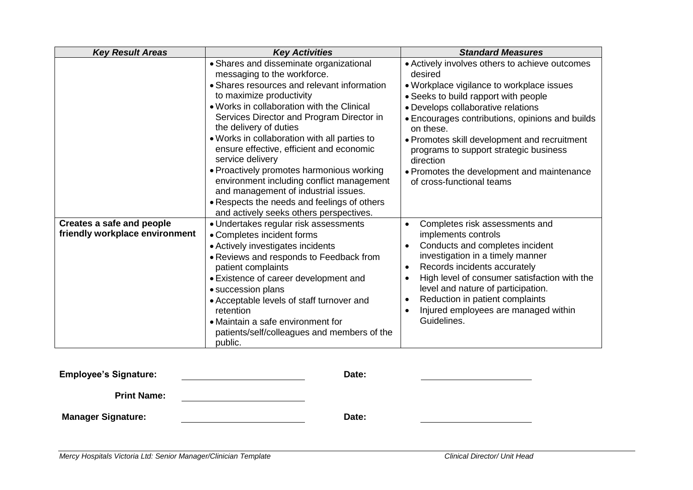| <b>Key Result Areas</b>                                     | <b>Key Activities</b>                                                                                                                                                                                                                                                                                                                                                                                                                                                                                                                                                                                              | <b>Standard Measures</b>                                                                                                                                                                                                                                                                                                                                                                                                               |  |
|-------------------------------------------------------------|--------------------------------------------------------------------------------------------------------------------------------------------------------------------------------------------------------------------------------------------------------------------------------------------------------------------------------------------------------------------------------------------------------------------------------------------------------------------------------------------------------------------------------------------------------------------------------------------------------------------|----------------------------------------------------------------------------------------------------------------------------------------------------------------------------------------------------------------------------------------------------------------------------------------------------------------------------------------------------------------------------------------------------------------------------------------|--|
|                                                             | • Shares and disseminate organizational<br>messaging to the workforce.<br>• Shares resources and relevant information<br>to maximize productivity<br>. Works in collaboration with the Clinical<br>Services Director and Program Director in<br>the delivery of duties<br>. Works in collaboration with all parties to<br>ensure effective, efficient and economic<br>service delivery<br>• Proactively promotes harmonious working<br>environment including conflict management<br>and management of industrial issues.<br>• Respects the needs and feelings of others<br>and actively seeks others perspectives. | • Actively involves others to achieve outcomes<br>desired<br>• Workplace vigilance to workplace issues<br>• Seeks to build rapport with people<br>• Develops collaborative relations<br>· Encourages contributions, opinions and builds<br>on these.<br>• Promotes skill development and recruitment<br>programs to support strategic business<br>direction<br>• Promotes the development and maintenance<br>of cross-functional teams |  |
| Creates a safe and people<br>friendly workplace environment | • Undertakes regular risk assessments<br>• Completes incident forms<br>• Actively investigates incidents<br>• Reviews and responds to Feedback from<br>patient complaints<br>• Existence of career development and<br>• succession plans<br>• Acceptable levels of staff turnover and<br>retention<br>• Maintain a safe environment for<br>patients/self/colleagues and members of the<br>public.                                                                                                                                                                                                                  | Completes risk assessments and<br>implements controls<br>Conducts and completes incident<br>$\bullet$<br>investigation in a timely manner<br>Records incidents accurately<br>$\bullet$<br>High level of consumer satisfaction with the<br>$\bullet$<br>level and nature of participation.<br>Reduction in patient complaints<br>Injured employees are managed within<br>Guidelines.                                                    |  |

| <b>Employee's Signature:</b> | Date: |  |
|------------------------------|-------|--|
| <b>Print Name:</b>           |       |  |
| <b>Manager Signature:</b>    | Date: |  |